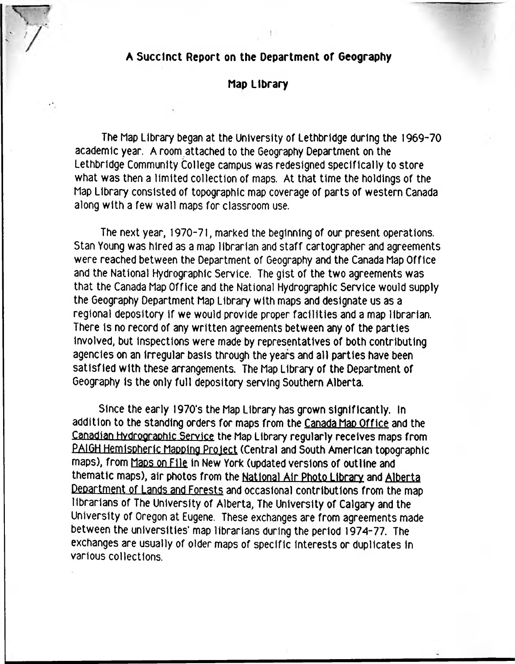## **A Succinct Report on the Department of Geography**

## **Map Library**

The Map Library began at the University of Lethbridge during the 1969-70 academic year. A room attached to the Geography Department on the Lethbridge Community College campus was redesigned specifically to store what was then a limited collection of maps. At that time the holdings of the Map Library consisted of topographic map coverage of parts of western Canada along with a few wall maps for classroom use.

The next year, 1970-71, marked the beginning of our present operations. Stan Young was hired as a map librarian and staff cartographer and agreements were reached between the Department of Geography and the Canada Map Office and the National Hydrographic Service. The gist of the two agreements was that the Canada Map Office and the National Hydrographic Service would supply the Geography Department Map Library with maps and designate us as a regional depository if we would provide proper facilities and a map librarian. There Is no record of any written agreements between any of the parties Involved, but inspections were made by representatives of both contributing agencies on an Irregular basis through the years and all parties have been satisfied with these arrangements. The Map Library of the Department of Geography is the only full depository serving Southern Alberta.

Since the early 1970's the Map Library has grown significantly. In addition to the standing orders for maps from the Canada Map Office and the Canadian Hydrographic Service the Map Library regularly receives maps from PAIGH Hemispheric Mapping Project (Central and South American topographic maps), from Maps on File in New York (updated versions of outline and thematic maps), air photos from the National Air Photo Library and Alberta Department of Lands and Forests and occasional contributions from the map librarians of The University of Alberta, The University of Calgary and the University of Oregon at Eugene. These exchanges are from agreements made between the universities' map librarians during the period 1974-77. The exchanges are usually of older maps of specific Interests or duplicates in various collections.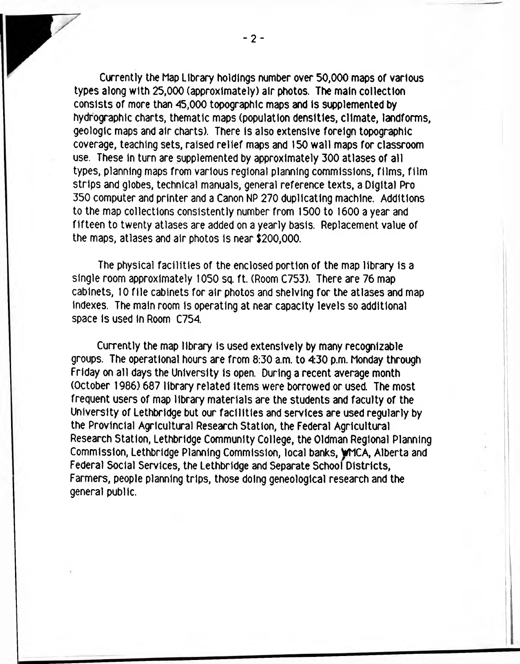Currently the Map Library holdings number over 50,000 maps of various types along with 25,000 (approximately) air photos. The main collection consists of more than 45,000 topographic maps and Is supplemented by hydrographic charts, thematic maps (population densities, climate, landforms, geologic maps and air charts). There Is also extensive foreign topographic coverage, teaching sets, raised relief maps and 150 wall maps for classroom use. These in turn are supplemented by approximately 300 atlases of all types, planning maps from various regional planning commissions, films, film strips and globes, technical manuals, general reference texts, a Digital Pro 350 computer and printer and a Canon NP 270 duplicating machine. Additions to the map collections consistently number from 1500 to 1600 a year and fifteen to twenty atlases are added on a yearly basis. Replacement value of the maps, atlases and air photos Is near \$200,000.

The physical facilities of the enclosed portion of the map library is a single room approximately 1050 sq. ft. (Room C753). There are 76 map cabinets, 10 file cabinets for air photos and shelving for the atlases and map indexes. The main room is operating at near capacity levels so additional space Is used in Room C754.

Currently the map library is used extensively by many recognizable groups. The operational hours are from 8:30 a.m. to 4:30 p.m. Monday through Friday on all days the University Is open. During a recent average month (October 1986) 687 library related Items were borrowed or used. The most frequent users of map library materials are the students and faculty of the University of Lethbridge but our facilities and services are used regularly by the Provincial Agricultural Research Station, the Federal Agricultural Research Station, Lethbridge Community College, the Oldman Regional Planning Commission, Lethbridge Planning Commission, local banks, WMCA, Alberta and Federal Social Services, the Lethbridge and Separate School Districts, Farmers, people planning trips, those doing geneologlcal research and the general public.